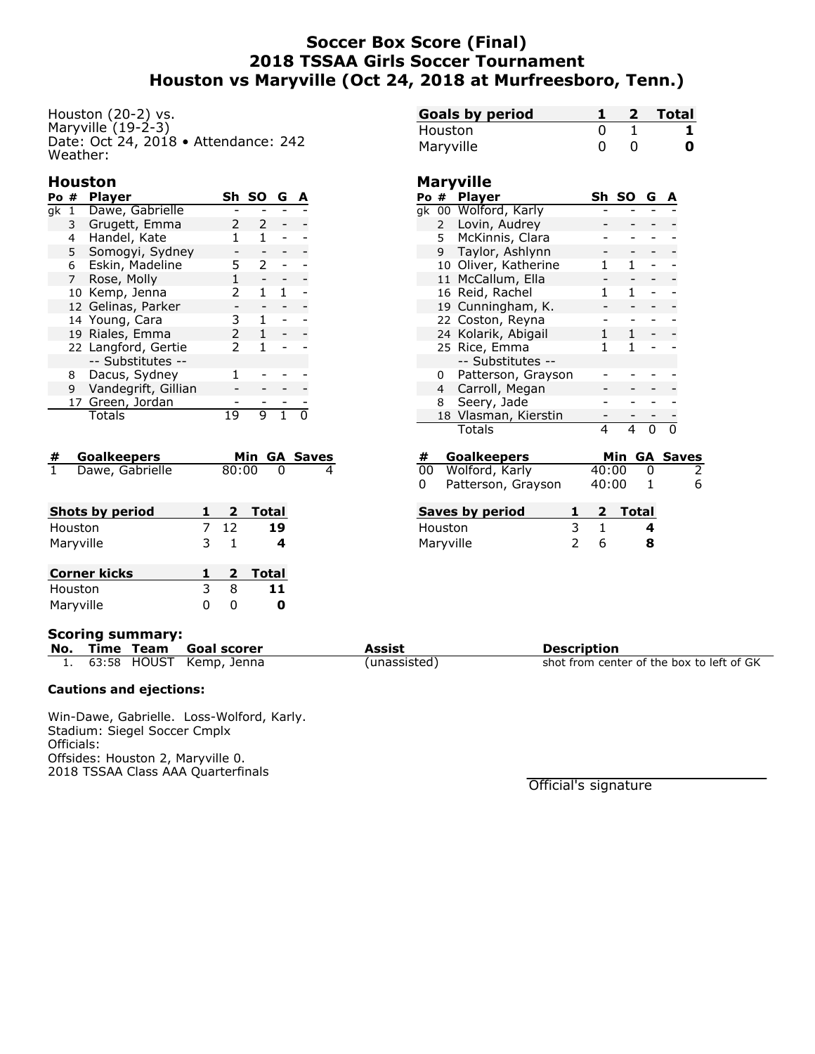# **Soccer Box Score (Final) 2018 TSSAA Girls Soccer Tournament Houston vs Maryville (Oct 24, 2018 at Murfreesboro, Tenn.)**

Houston (20-2) vs. Maryville (19-2-3) Date: Oct 24, 2018 • Attendance: 242 Weather:

### **Houston**

| Po | #              | <b>Player</b>       | Sh.           | -SO | G |  |
|----|----------------|---------------------|---------------|-----|---|--|
| qk | 1              | Dawe, Gabrielle     |               |     |   |  |
|    | 3              | Grugett, Emma       |               |     |   |  |
|    | 4              | Handel, Kate        |               |     |   |  |
|    | 5              | Somogyi, Sydney     |               |     |   |  |
|    | 6              | Eskin, Madeline     | 5             |     |   |  |
|    | $\overline{7}$ | Rose, Molly         |               |     |   |  |
|    |                | 10 Kemp, Jenna      | $\mathcal{P}$ | 1   |   |  |
|    |                | 12 Gelinas, Parker  |               |     |   |  |
|    |                | 14 Young, Cara      | 3             |     |   |  |
|    |                | 19 Riales, Emma     | $\mathcal{P}$ |     |   |  |
|    |                | 22 Langford, Gertie | $\mathcal{P}$ | 1   |   |  |
|    |                | -- Substitutes --   |               |     |   |  |
|    | 8.             | Dacus, Sydney       |               |     |   |  |
|    | 9              | Vandegrift, Gillian |               |     |   |  |
|    |                | 17 Green, Jordan    |               |     |   |  |
|    |                | Totals              |               |     |   |  |

| # Goalkeepers   |       | Min GA Saves |
|-----------------|-------|--------------|
| Dawe, Gabrielle | 80:00 |              |
|                 |       |              |

| <b>Shots by period</b> |   | 2  | Total   |
|------------------------|---|----|---------|
| Houston                |   | 12 | 19      |
| Maryville              | 3 |    | 4       |
|                        |   |    |         |
|                        |   |    |         |
| <b>Corner kicks</b>    |   |    | 2 Total |
| Houston                | 3 | 8  | 11      |

| <b>Goals by period</b> |  | Total |
|------------------------|--|-------|
| Houston                |  |       |
| Maryville              |  | O     |

### **Maryville**

| Po #         | <b>Player</b>        | Sh | -SO. | G |  |
|--------------|----------------------|----|------|---|--|
|              | gk 00 Wolford, Karly |    |      |   |  |
| $\mathbf{2}$ | Lovin, Audrey        |    |      |   |  |
|              | 5 McKinnis, Clara    |    |      |   |  |
| 9            | Taylor, Ashlynn      |    |      |   |  |
|              | 10 Oliver, Katherine |    |      |   |  |
|              | 11 McCallum, Ella    |    |      |   |  |
|              | 16 Reid, Rachel      |    |      |   |  |
|              | 19 Cunningham, K.    |    |      |   |  |
|              | 22 Coston, Reyna     |    |      |   |  |
|              | 24 Kolarik, Abigail  | 1  |      |   |  |
|              | 25 Rice, Emma        |    | 1    |   |  |
|              | -- Substitutes --    |    |      |   |  |
| 0            | Patterson, Grayson   |    |      |   |  |
|              | 4 Carroll, Megan     |    |      |   |  |
| 8            | Seery, Jade          |    |      |   |  |
|              | 18 Vlasman, Kierstin |    |      |   |  |
|              | Totals               |    |      |   |  |
|              |                      |    |      |   |  |

| #        | <b>Goalkeepers</b> |       |         | <b>Min GA Saves</b> |
|----------|--------------------|-------|---------|---------------------|
| 00       | Wolford, Karly     | 40:00 | O       |                     |
| $\Omega$ | Patterson, Grayson | 40:00 |         | 6                   |
|          | Saves by period    |       | 2 Total |                     |
|          | Houston            |       | 4       |                     |
|          | Maryville          |       | 8       |                     |

#### **Scoring summary:**

| ses, sen |  |                            |              |                                           |  |  |  |  |  |
|----------|--|----------------------------|--------------|-------------------------------------------|--|--|--|--|--|
|          |  | No. Time Team Goal scorer  | Assist       | <b>Description</b>                        |  |  |  |  |  |
|          |  | 1. 63:58 HOUST Kemp, Jenna | (unassisted) | shot from center of the box to left of GK |  |  |  |  |  |

#### **Cautions and ejections:**

Win-Dawe, Gabrielle. Loss-Wolford, Karly. Stadium: Siegel Soccer Cmplx Officials: Offsides: Houston 2, Maryville 0. 2018 TSSAA Class AAA Quarterfinals

Official's signature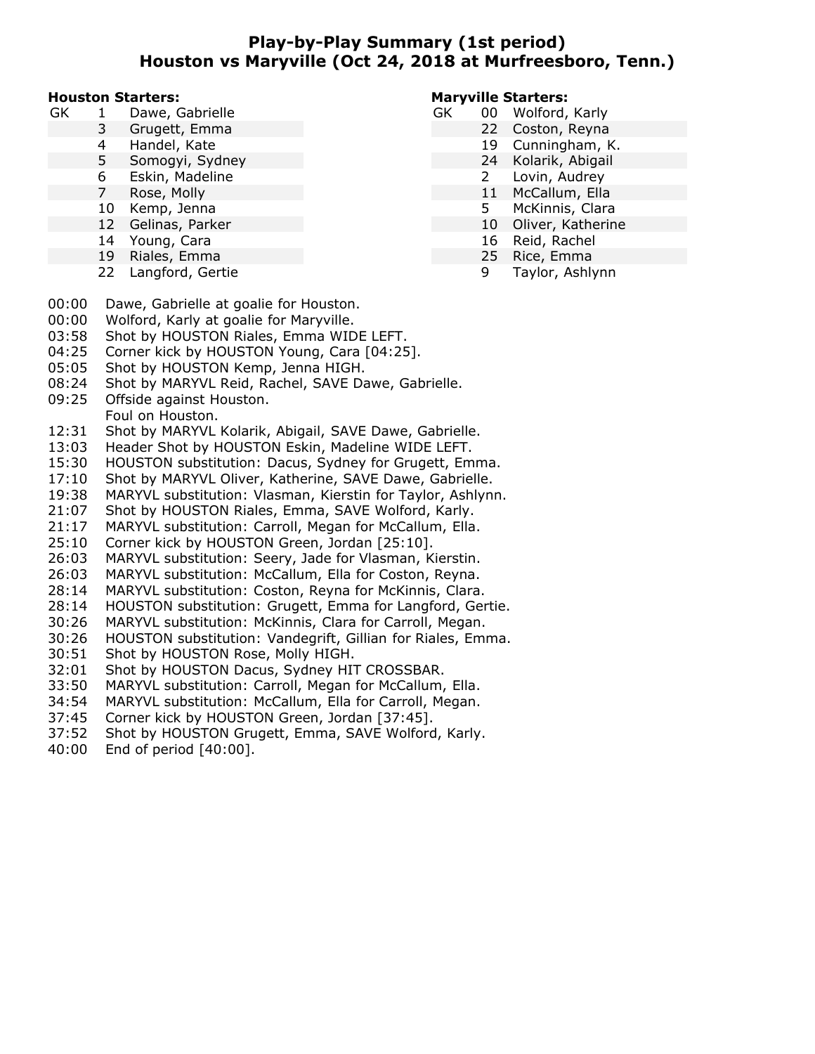## **Play-by-Play Summary (1st period) Houston vs Maryville (Oct 24, 2018 at Murfreesboro, Tenn.)**

#### **Houston Starters:**

- GK 1 Dawe, Gabrielle
	- 3 Grugett, Emma
	- 4 Handel, Kate
	- 5 Somogyi, Sydney
	- 6 Eskin, Madeline
	- 7 Rose, Molly
	- 10 Kemp, Jenna
	- 12 Gelinas, Parker
	- 14 Young, Cara
	- 19 Riales, Emma
	- 22 Langford, Gertie

### **Maryville Starters:**

- GK 00 Wolford, Karly
	- 22 Coston, Reyna
	- 19 Cunningham, K.
	- 24 Kolarik, Abigail
	- 2 Lovin, Audrey
	- 11 McCallum, Ella
	- 5 McKinnis, Clara
	- 10 Oliver, Katherine
	- 16 Reid, Rachel
	- 25 Rice, Emma
		- 9 Taylor, Ashlynn

- 00:00 Dawe, Gabrielle at goalie for Houston.
- 00:00 Wolford, Karly at goalie for Maryville.
- 03:58 Shot by HOUSTON Riales, Emma WIDE LEFT.
- 04:25 Corner kick by HOUSTON Young, Cara [04:25].
- 05:05 Shot by HOUSTON Kemp, Jenna HIGH.
- 08:24 Shot by MARYVL Reid, Rachel, SAVE Dawe, Gabrielle.
- 09:25 Offside against Houston.
	- Foul on Houston.
- 12:31 Shot by MARYVL Kolarik, Abigail, SAVE Dawe, Gabrielle.
- 13:03 Header Shot by HOUSTON Eskin, Madeline WIDE LEFT.
- 15:30 HOUSTON substitution: Dacus, Sydney for Grugett, Emma.
- 17:10 Shot by MARYVL Oliver, Katherine, SAVE Dawe, Gabrielle.
- 19:38 MARYVL substitution: Vlasman, Kierstin for Taylor, Ashlynn.
- 21:07 Shot by HOUSTON Riales, Emma, SAVE Wolford, Karly.
- 21:17 MARYVL substitution: Carroll, Megan for McCallum, Ella.
- 25:10 Corner kick by HOUSTON Green, Jordan [25:10].
- 26:03 MARYVL substitution: Seery, Jade for Vlasman, Kierstin.
- 26:03 MARYVL substitution: McCallum, Ella for Coston, Reyna.
- 28:14 MARYVL substitution: Coston, Reyna for McKinnis, Clara.
- 28:14 HOUSTON substitution: Grugett, Emma for Langford, Gertie.
- 30:26 MARYVL substitution: McKinnis, Clara for Carroll, Megan.
- 30:26 HOUSTON substitution: Vandegrift, Gillian for Riales, Emma.
- 30:51 Shot by HOUSTON Rose, Molly HIGH.
- 32:01 Shot by HOUSTON Dacus, Sydney HIT CROSSBAR.
- 33:50 MARYVL substitution: Carroll, Megan for McCallum, Ella.
- 34:54 MARYVL substitution: McCallum, Ella for Carroll, Megan.
- 37:45 Corner kick by HOUSTON Green, Jordan [37:45].
- 37:52 Shot by HOUSTON Grugett, Emma, SAVE Wolford, Karly.
- 40:00 End of period [40:00].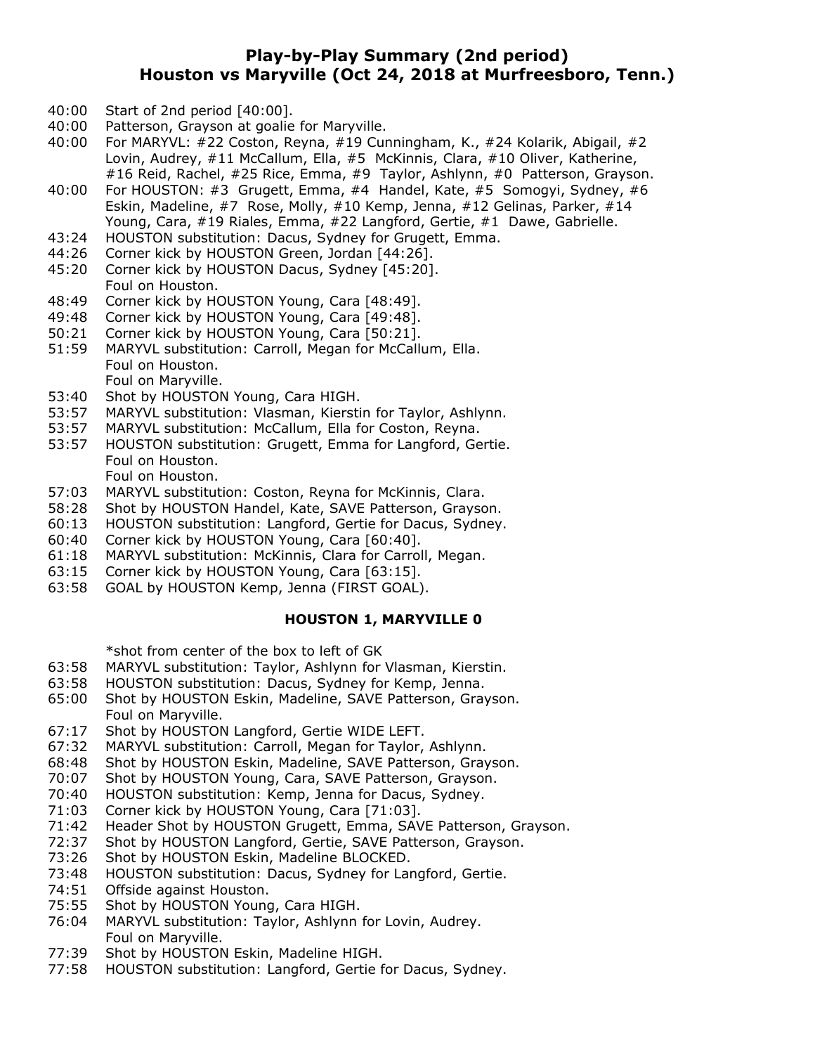## **Play-by-Play Summary (2nd period) Houston vs Maryville (Oct 24, 2018 at Murfreesboro, Tenn.)**

- 40:00 Start of 2nd period [40:00].
- 40:00 Patterson, Grayson at goalie for Maryville.
- 40:00 For MARYVL: #22 Coston, Reyna, #19 Cunningham, K., #24 Kolarik, Abigail, #2 Lovin, Audrey, #11 McCallum, Ella, #5 McKinnis, Clara, #10 Oliver, Katherine, #16 Reid, Rachel, #25 Rice, Emma, #9 Taylor, Ashlynn, #0 Patterson, Grayson.
- 40:00 For HOUSTON: #3 Grugett, Emma, #4 Handel, Kate, #5 Somogyi, Sydney, #6 Eskin, Madeline, #7 Rose, Molly, #10 Kemp, Jenna, #12 Gelinas, Parker, #14 Young, Cara, #19 Riales, Emma, #22 Langford, Gertie, #1 Dawe, Gabrielle.
- 43:24 HOUSTON substitution: Dacus, Sydney for Grugett, Emma.
- 44:26 Corner kick by HOUSTON Green, Jordan [44:26].
- 45:20 Corner kick by HOUSTON Dacus, Sydney [45:20]. Foul on Houston.
- 48:49 Corner kick by HOUSTON Young, Cara [48:49].
- 49:48 Corner kick by HOUSTON Young, Cara [49:48].
- 50:21 Corner kick by HOUSTON Young, Cara [50:21].
- 51:59 MARYVL substitution: Carroll, Megan for McCallum, Ella. Foul on Houston. Foul on Maryville.
- 53:40 Shot by HOUSTON Young, Cara HIGH.
- 53:57 MARYVL substitution: Vlasman, Kierstin for Taylor, Ashlynn.
- 53:57 MARYVL substitution: McCallum, Ella for Coston, Reyna.
- 53:57 HOUSTON substitution: Grugett, Emma for Langford, Gertie. Foul on Houston.
	- Foul on Houston.
- 57:03 MARYVL substitution: Coston, Reyna for McKinnis, Clara.
- 58:28 Shot by HOUSTON Handel, Kate, SAVE Patterson, Grayson.
- 60:13 HOUSTON substitution: Langford, Gertie for Dacus, Sydney.
- 60:40 Corner kick by HOUSTON Young, Cara [60:40].
- 61:18 MARYVL substitution: McKinnis, Clara for Carroll, Megan.
- 63:15 Corner kick by HOUSTON Young, Cara [63:15].
- 63:58 GOAL by HOUSTON Kemp, Jenna (FIRST GOAL).

### **HOUSTON 1, MARYVILLE 0**

\*shot from center of the box to left of GK

- 63:58 MARYVL substitution: Taylor, Ashlynn for Vlasman, Kierstin.
- 63:58 HOUSTON substitution: Dacus, Sydney for Kemp, Jenna.
- 65:00 Shot by HOUSTON Eskin, Madeline, SAVE Patterson, Grayson. Foul on Maryville.
- 67:17 Shot by HOUSTON Langford, Gertie WIDE LEFT.
- 67:32 MARYVL substitution: Carroll, Megan for Taylor, Ashlynn.
- 68:48 Shot by HOUSTON Eskin, Madeline, SAVE Patterson, Grayson.
- 70:07 Shot by HOUSTON Young, Cara, SAVE Patterson, Grayson.
- 70:40 HOUSTON substitution: Kemp, Jenna for Dacus, Sydney.
- 71:03 Corner kick by HOUSTON Young, Cara [71:03].
- 71:42 Header Shot by HOUSTON Grugett, Emma, SAVE Patterson, Grayson.<br>72:37 Shot by HOUSTON Langford, Gertie, SAVE Patterson, Grayson.
- Shot by HOUSTON Langford, Gertie, SAVE Patterson, Grayson.
- 73:26 Shot by HOUSTON Eskin, Madeline BLOCKED.
- 73:48 HOUSTON substitution: Dacus, Sydney for Langford, Gertie.
- 74:51 Offside against Houston.
- 75:55 Shot by HOUSTON Young, Cara HIGH.
- 76:04 MARYVL substitution: Taylor, Ashlynn for Lovin, Audrey. Foul on Maryville.
- 77:39 Shot by HOUSTON Eskin, Madeline HIGH.
- 77:58 HOUSTON substitution: Langford, Gertie for Dacus, Sydney.